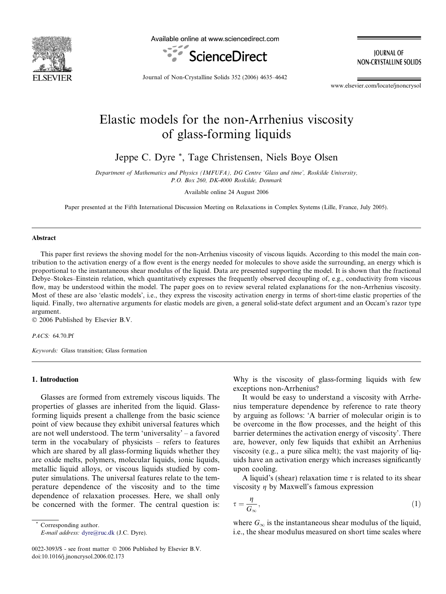<span id="page-0-0"></span>

Available online at www.sciencedirect.com



**IOURNAL OF** NON-CRYSTALLINE SOLIDS

Journal of Non-Crystalline Solids 352 (2006) 4635–4642

www.elsevier.com/locate/jnoncrysol

# Elastic models for the non-Arrhenius viscosity of glass-forming liquids

Jeppe C. Dyre \*, Tage Christensen, Niels Boye Olsen

Department of Mathematics and Physics (IMFUFA), DG Centre 'Glass and time', Roskilde University, P.O. Box 260, DK-4000 Roskilde, Denmark

Available online 24 August 2006

Paper presented at the Fifth International Discussion Meeting on Relaxations in Complex Systems (Lille, France, July 2005).

#### Abstract

This paper first reviews the shoving model for the non-Arrhenius viscosity of viscous liquids. According to this model the main contribution to the activation energy of a flow event is the energy needed for molecules to shove aside the surrounding, an energy which is proportional to the instantaneous shear modulus of the liquid. Data are presented supporting the model. It is shown that the fractional Debye–Stokes–Einstein relation, which quantitatively expresses the frequently observed decoupling of, e.g., conductivity from viscous flow, may be understood within the model. The paper goes on to review several related explanations for the non-Arrhenius viscosity. Most of these are also 'elastic models', i.e., they express the viscosity activation energy in terms of short-time elastic properties of the liquid. Finally, two alternative arguments for elastic models are given, a general solid-state defect argument and an Occam's razor type argument.

 $© 2006$  Published by Elsevier B.V.

PACS: 64.70.Pf

Keywords: Glass transition; Glass formation

## 1. Introduction

Glasses are formed from extremely viscous liquids. The properties of glasses are inherited from the liquid. Glassforming liquids present a challenge from the basic science point of view because they exhibit universal features which are not well understood. The term 'universality' – a favored term in the vocabulary of physicists – refers to features which are shared by all glass-forming liquids whether they are oxide melts, polymers, molecular liquids, ionic liquids, metallic liquid alloys, or viscous liquids studied by computer simulations. The universal features relate to the temperature dependence of the viscosity and to the time dependence of relaxation processes. Here, we shall only be concerned with the former. The central question is:

Corresponding author. E-mail address: [dyre@ruc.dk](mailto:dyre@ruc.dk) (J.C. Dyre). Why is the viscosity of glass-forming liquids with few exceptions non-Arrhenius?

It would be easy to understand a viscosity with Arrhenius temperature dependence by reference to rate theory by arguing as follows: 'A barrier of molecular origin is to be overcome in the flow processes, and the height of this barrier determines the activation energy of viscosity'. There are, however, only few liquids that exhibit an Arrhenius viscosity (e.g., a pure silica melt); the vast majority of liquids have an activation energy which increases significantly upon cooling.

A liquid's (shear) relaxation time  $\tau$  is related to its shear viscosity  $\eta$  by Maxwell's famous expression

$$
\tau = \frac{\eta}{G_{\infty}},\tag{1}
$$

where  $G_{\infty}$  is the instantaneous shear modulus of the liquid, i.e., the shear modulus measured on short time scales where

<sup>0022-3093/\$ -</sup> see front matter © 2006 Published by Elsevier B.V. doi:10.1016/j.jnoncrysol.2006.02.173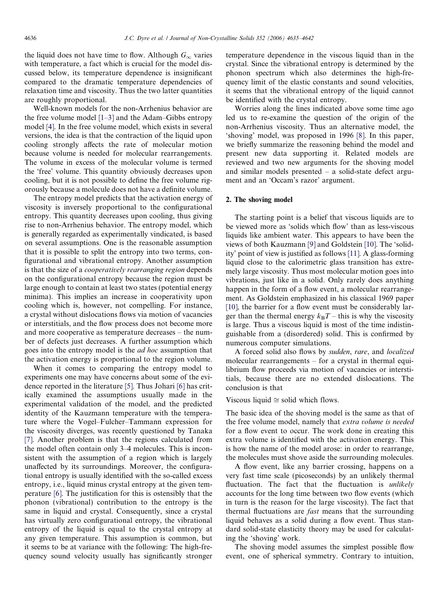the liquid does not have time to flow. Although  $G_{\infty}$  varies with temperature, a fact which is crucial for the model discussed below, its temperature dependence is insignificant compared to the dramatic temperature dependencies of relaxation time and viscosity. Thus the two latter quantities are roughly proportional.

Well-known models for the non-Arrhenius behavior are the free volume model  $[1-3]$  and the Adam–Gibbs entropy model [\[4\]](#page-6-0). In the free volume model, which exists in several versions, the idea is that the contraction of the liquid upon cooling strongly affects the rate of molecular motion because volume is needed for molecular rearrangements. The volume in excess of the molecular volume is termed the 'free' volume. This quantity obviously decreases upon cooling, but it is not possible to define the free volume rigorously because a molecule does not have a definite volume.

The entropy model predicts that the activation energy of viscosity is inversely proportional to the configurational entropy. This quantity decreases upon cooling, thus giving rise to non-Arrhenius behavior. The entropy model, which is generally regarded as experimentally vindicated, is based on several assumptions. One is the reasonable assumption that it is possible to split the entropy into two terms, configurational and vibrational entropy. Another assumption is that the size of a cooperatively rearranging region depends on the configurational entropy because the region must be large enough to contain at least two states (potential energy minima). This implies an increase in cooperativity upon cooling which is, however, not compelling. For instance, a crystal without dislocations flows via motion of vacancies or interstitials, and the flow process does not become more and more cooperative as temperature decreases – the number of defects just decreases. A further assumption which goes into the entropy model is the ad hoc assumption that the activation energy is proportional to the region volume.

When it comes to comparing the entropy model to experiments one may have concerns about some of the evidence reported in the literature [\[5\]](#page-6-0). Thus Johari [\[6\]](#page-6-0) has critically examined the assumptions usually made in the experimental validation of the model, and the predicted identity of the Kauzmann temperature with the temperature where the Vogel–Fulcher–Tammann expression for the viscosity diverges, was recently questioned by Tanaka [\[7\]](#page-6-0). Another problem is that the regions calculated from the model often contain only 3–4 molecules. This is inconsistent with the assumption of a region which is largely unaffected by its surroundings. Moreover, the configurational entropy is usually identified with the so-called excess entropy, i.e., liquid minus crystal entropy at the given temperature [\[6\]](#page-6-0). The justification for this is ostensibly that the phonon (vibrational) contribution to the entropy is the same in liquid and crystal. Consequently, since a crystal has virtually zero configurational entropy, the vibrational entropy of the liquid is equal to the crystal entropy at any given temperature. This assumption is common, but it seems to be at variance with the following: The high-frequency sound velocity usually has significantly stronger

temperature dependence in the viscous liquid than in the crystal. Since the vibrational entropy is determined by the phonon spectrum which also determines the high-frequency limit of the elastic constants and sound velocities, it seems that the vibrational entropy of the liquid cannot be identified with the crystal entropy.

Worries along the lines indicated above some time ago led us to re-examine the question of the origin of the non-Arrhenius viscosity. Thus an alternative model, the 'shoving' model, was proposed in 1996 [\[8\].](#page-6-0) In this paper, we briefly summarize the reasoning behind the model and present new data supporting it. Related models are reviewed and two new arguments for the shoving model and similar models presented – a solid-state defect argument and an 'Occam's razor' argument.

#### 2. The shoving model

The starting point is a belief that viscous liquids are to be viewed more as 'solids which flow' than as less-viscous liquids like ambient water. This appears to have been the views of both Kauzmann [\[9\]](#page-6-0) and Goldstein [\[10\]](#page-6-0). The 'solidity' point of view is justified as follows [\[11\].](#page-6-0) A glass-forming liquid close to the calorimetric glass transition has extremely large viscosity. Thus most molecular motion goes into vibrations, just like in a solid. Only rarely does anything happen in the form of a flow event, a molecular rearrangement. As Goldstein emphasized in his classical 1969 paper [\[10\]](#page-6-0), the barrier for a flow event must be considerably larger than the thermal energy  $k_BT$  – this is why the viscosity is large. Thus a viscous liquid is most of the time indistinguishable from a (disordered) solid. This is confirmed by numerous computer simulations.

A forced solid also flows by sudden, rare, and localized molecular rearrangements – for a crystal in thermal equilibrium flow proceeds via motion of vacancies or interstitials, because there are no extended dislocations. The conclusion is that

Viscous liquid  $\cong$  solid which flows.

The basic idea of the shoving model is the same as that of the free volume model, namely that extra volume is needed for a flow event to occur. The work done in creating this extra volume is identified with the activation energy. This is how the name of the model arose: in order to rearrange, the molecules must shove aside the surrounding molecules.

A flow event, like any barrier crossing, happens on a very fast time scale (picoseconds) by an unlikely thermal fluctuation. The fact that the fluctuation is *unlikely* accounts for the long time between two flow events (which in turn is the reason for the large viscosity). The fact that thermal fluctuations are fast means that the surrounding liquid behaves as a solid during a flow event. Thus standard solid-state elasticity theory may be used for calculating the 'shoving' work.

The shoving model assumes the simplest possible flow event, one of spherical symmetry. Contrary to intuition,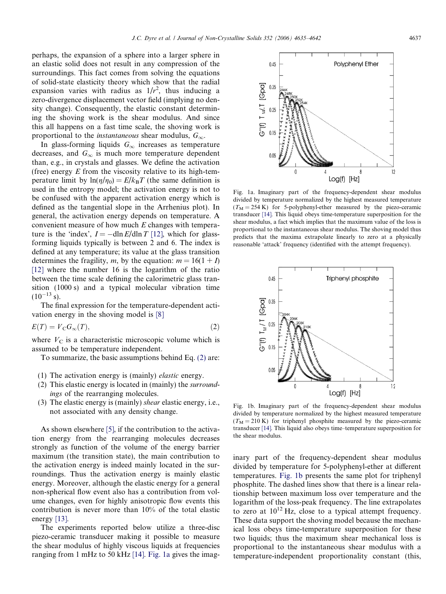<span id="page-2-0"></span>perhaps, the expansion of a sphere into a larger sphere in an elastic solid does not result in any compression of the surroundings. This fact comes from solving the equations of solid-state elasticity theory which show that the radial expansion varies with radius as  $1/r^2$ , thus inducing a zero-divergence displacement vector field (implying no density change). Consequently, the elastic constant determining the shoving work is the shear modulus. And since this all happens on a fast time scale, the shoving work is proportional to the *instantaneous* shear modulus,  $G_{\infty}$ .

In glass-forming liquids  $G_{\infty}$  increases as temperature decreases, and  $G_{\infty}$  is much more temperature dependent than, e.g., in crystals and glasses. We define the activation (free) energy  $E$  from the viscosity relative to its high-temperature limit by  $ln(\eta/\eta_0) = E/k_BT$  (the same definition is used in the entropy model; the activation energy is not to be confused with the apparent activation energy which is defined as the tangential slope in the Arrhenius plot). In general, the activation energy depends on temperature. A convenient measure of how much E changes with temperature is the 'index',  $I = -\frac{d\ln E}{d\ln T}$  [\[12\]](#page-6-0), which for glassforming liquids typically is between 2 and 6. The index is defined at any temperature; its value at the glass transition determines the fragility, m, by the equation:  $m = 16(1 + I)$ [\[12\]](#page-6-0) where the number 16 is the logarithm of the ratio between the time scale defining the calorimetric glass transition (1000 s) and a typical molecular vibration time  $(10^{-13}$  s).

The final expression for the temperature-dependent activation energy in the shoving model is [\[8\]](#page-6-0)

$$
E(T) = V_{\rm C} G_{\infty}(T),\tag{2}
$$

where  $V_{\rm C}$  is a characteristic microscopic volume which is assumed to be temperature independent.

To summarize, the basic assumptions behind Eq. (2) are:

- (1) The activation energy is (mainly) elastic energy.
- (2) This elastic energy is located in (mainly) the surroundings of the rearranging molecules.
- (3) The elastic energy is (mainly) shear elastic energy, i.e., not associated with any density change.

As shown elsewhere [\[5\]](#page-6-0), if the contribution to the activation energy from the rearranging molecules decreases strongly as function of the volume of the energy barrier maximum (the transition state), the main contribution to the activation energy is indeed mainly located in the surroundings. Thus the activation energy is mainly elastic energy. Moreover, although the elastic energy for a general non-spherical flow event also has a contribution from volume changes, even for highly anisotropic flow events this contribution is never more than 10% of the total elastic energy [\[13\]](#page-6-0).

The experiments reported below utilize a three-disc piezo-ceramic transducer making it possible to measure the shear modulus of highly viscous liquids at frequencies ranging from 1 mHz to 50 kHz [\[14\]](#page-6-0). Fig. 1a gives the imagFig. 1a. Imaginary part of the frequency-dependent shear modulus divided by temperature normalized by the highest measured temperature  $(T_M = 254 \text{ K})$  for 5-polyphenyl-ether measured by the piezo-ceramic transducer [\[14\]](#page-6-0). This liquid obeys time-temperature superposition for the shear modulus, a fact which implies that the maximum value of the loss is proportional to the instantaneous shear modulus. The shoving model thus predicts that the maxima extrapolate linearly to zero at a physically reasonable 'attack' frequency (identified with the attempt frequency).



Fig. 1b. Imaginary part of the frequency-dependent shear modulus divided by temperature normalized by the highest measured temperature  $(T_M = 210 \text{ K})$  for triphenyl phosphite measured by the piezo-ceramic transducer [\[14\].](#page-6-0) This liquid also obeys time–temperature superposition for the shear modulus.

inary part of the frequency-dependent shear modulus divided by temperature for 5-polyphenyl-ether at different temperatures. Fig. 1b presents the same plot for triphenyl phosphite. The dashed lines show that there is a linear relationship between maximum loss over temperature and the logarithm of the loss-peak frequency. The line extrapolates to zero at  $10^{12}$  Hz, close to a typical attempt frequency. These data support the shoving model because the mechanical loss obeys time-temperature superposition for these two liquids; thus the maximum shear mechanical loss is proportional to the instantaneous shear modulus with a temperature-independent proportionality constant (this,

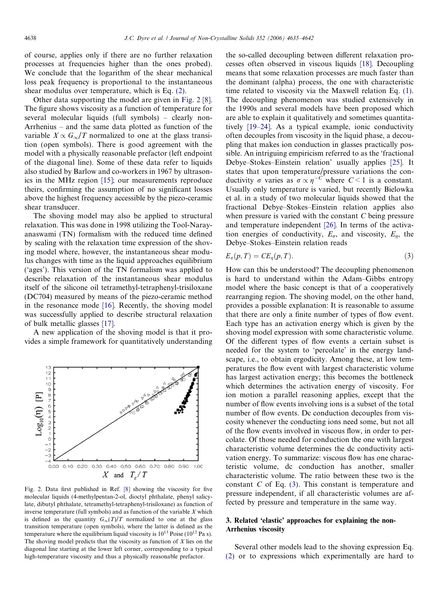of course, applies only if there are no further relaxation processes at frequencies higher than the ones probed). We conclude that the logarithm of the shear mechanical loss peak frequency is proportional to the instantaneous shear modulus over temperature, which is Eq. [\(2\).](#page-2-0)

Other data supporting the model are given in Fig. 2 [\[8\]](#page-6-0). The figure shows viscosity as a function of temperature for several molecular liquids (full symbols) – clearly non-Arrhenius – and the same data plotted as function of the variable  $X \propto G_{\infty}/T$  normalized to one at the glass transition (open symbols). There is good agreement with the model with a physically reasonable prefactor (left endpoint of the diagonal line). Some of these data refer to liquids also studied by Barlow and co-workers in 1967 by ultrasonics in the MHz region [\[15\];](#page-6-0) our measurements reproduce theirs, confirming the assumption of no significant losses above the highest frequency accessible by the piezo-ceramic shear transducer.

The shoving model may also be applied to structural relaxation. This was done in 1998 utilizing the Tool-Narayanaswami (TN) formalism with the reduced time defined by scaling with the relaxation time expression of the shoving model where, however, the instantaneous shear modulus changes with time as the liquid approaches equilibrium ('ages'). This version of the TN formalism was applied to describe relaxation of the instantaneous shear modulus itself of the silicone oil tetramethyl-tetraphenyl-trisiloxane (DC704) measured by means of the piezo-ceramic method in the resonance mode [\[16\].](#page-7-0) Recently, the shoving model was successfully applied to describe structural relaxation of bulk metallic glasses [\[17\]](#page-7-0).

A new application of the shoving model is that it provides a simple framework for quantitatively understanding



Fig. 2. Data first published in Ref. [\[8\]](#page-6-0) showing the viscosity for five molecular liquids (4-methylpentan-2-ol, dioctyl phthalate, phenyl salicylate, dibutyl phthalate, tetramethyl-tetraphenyl-trisiloxane) as function of inverse temperature (full symbols) and as function of the variable  $X$  which is defined as the quantity  $G_{\infty}(T)/T$  normalized to one at the glass transition temperature (open symbols), where the latter is defined as the temperature where the equilibrium liquid viscosity is  $10^{13}$  Poise ( $10^{12}$  Pa s). The shoving model predicts that the viscosity as function of  $X$  lies on the diagonal line starting at the lower left corner, corresponding to a typical high-temperature viscosity and thus a physically reasonable prefactor.

the so-called decoupling between different relaxation processes often observed in viscous liquids [\[18\]](#page-7-0). Decoupling means that some relaxation processes are much faster than the dominant (alpha) process, the one with characteristic time related to viscosity via the Maxwell relation Eq. [\(1\)](#page-0-0). The decoupling phenomenon was studied extensively in the 1990s and several models have been proposed which are able to explain it qualitatively and sometimes quantitatively [\[19–24\].](#page-7-0) As a typical example, ionic conductivity often decouples from viscosity in the liquid phase, a decoupling that makes ion conduction in glasses practically possible. An intriguing empiricism referred to as the 'fractional Debye–Stokes–Einstein relation' usually applies [\[25\].](#page-7-0) It states that upon temperature/pressure variations the conductivity  $\sigma$  varies as  $\sigma \propto \eta^{-C}$  where  $C < 1$  is a constant. Usually only temperature is varied, but recently Bielowka et al. in a study of two molecular liquids showed that the fractional Debye–Stokes–Einstein relation applies also when pressure is varied with the constant  $C$  being pressure and temperature independent [\[26\].](#page-7-0) In terms of the activation energies of conductivity,  $E_{\sigma}$ , and viscosity,  $E_{\eta}$ , the Debye–Stokes–Einstein relation reads

$$
E_{\sigma}(p,T) = CE_{\eta}(p,T). \tag{3}
$$

How can this be understood? The decoupling phenomenon is hard to understand within the Adam–Gibbs entropy model where the basic concept is that of a cooperatively rearranging region. The shoving model, on the other hand, provides a possible explanation: It is reasonable to assume that there are only a finite number of types of flow event. Each type has an activation energy which is given by the shoving model expression with some characteristic volume. Of the different types of flow events a certain subset is needed for the system to 'percolate' in the energy landscape, i.e., to obtain ergodicity. Among these, at low temperatures the flow event with largest characteristic volume has largest activation energy; this becomes the bottleneck which determines the activation energy of viscosity. For ion motion a parallel reasoning applies, except that the number of flow events involving ions is a subset of the total number of flow events. Dc conduction decouples from viscosity whenever the conducting ions need some, but not all of the flow events involved in viscous flow, in order to percolate. Of those needed for conduction the one with largest characteristic volume determines the dc conductivity activation energy. To summarize: viscous flow has one characteristic volume, dc conduction has another, smaller characteristic volume. The ratio between these two is the constant C of Eq. (3). This constant is temperature and pressure independent, if all characteristic volumes are affected by pressure and temperature in the same way.

# 3. Related 'elastic' approaches for explaining the non-Arrhenius viscosity

Several other models lead to the shoving expression Eq. [\(2\)](#page-2-0) or to expressions which experimentally are hard to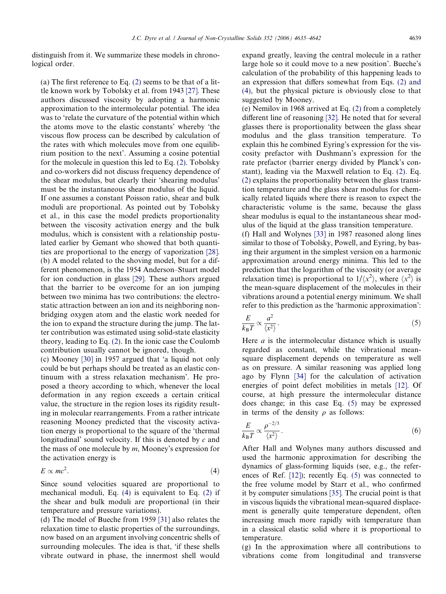<span id="page-4-0"></span>distinguish from it. We summarize these models in chronological order.

(a) The first reference to Eq. [\(2\)](#page-2-0) seems to be that of a little known work by Tobolsky et al. from 1943 [\[27\].](#page-7-0) These authors discussed viscosity by adopting a harmonic approximation to the intermolecular potential. The idea was to 'relate the curvature of the potential within which the atoms move to the elastic constants' whereby 'the viscous flow process can be described by calculation of the rates with which molecules move from one equilibrium position to the next'. Assuming a cosine potential for the molecule in question this led to Eq. [\(2\)](#page-2-0). Tobolsky and co-workers did not discuss frequency dependence of the shear modulus, but clearly their 'shearing modulus' must be the instantaneous shear modulus of the liquid. If one assumes a constant Poisson ratio, shear and bulk moduli are proportional. As pointed out by Tobolsky et al., in this case the model predicts proportionality between the viscosity activation energy and the bulk modulus, which is consistent with a relationship postulated earlier by Gemant who showed that both quantities are proportional to the energy of vaporization [\[28\].](#page-7-0) (b) A model related to the shoving model, but for a different phenomenon, is the 1954 Anderson–Stuart model for ion conduction in glass [\[29\]](#page-7-0). These authors argued that the barrier to be overcome for an ion jumping between two minima has two contributions: the electrostatic attraction between an ion and its neighboring nonbridging oxygen atom and the elastic work needed for the ion to expand the structure during the jump. The latter contribution was estimated using solid-state elasticity theory, leading to Eq. [\(2\)](#page-2-0). In the ionic case the Coulomb contribution usually cannot be ignored, though.

(c) Mooney [\[30\]](#page-7-0) in 1957 argued that 'a liquid not only could be but perhaps should be treated as an elastic continuum with a stress relaxation mechanism'. He proposed a theory according to which, whenever the local deformation in any region exceeds a certain critical value, the structure in the region loses its rigidity resulting in molecular rearrangements. From a rather intricate reasoning Mooney predicted that the viscosity activation energy is proportional to the square of the 'thermal longitudinal' sound velocity. If this is denoted by  $c$  and the mass of one molecule by  $m$ , Mooney's expression for the activation energy is

$$
E \propto mc^2. \tag{4}
$$

Since sound velocities squared are proportional to mechanical moduli, Eq. (4) is equivalent to Eq. [\(2\)](#page-2-0) if the shear and bulk moduli are proportional (in their temperature and pressure variations).

(d) The model of Bueche from 1959 [\[31\]](#page-7-0) also relates the relaxation time to elastic properties of the surroundings, now based on an argument involving concentric shells of surrounding molecules. The idea is that, 'if these shells vibrate outward in phase, the innermost shell would

expand greatly, leaving the central molecule in a rather large hole so it could move to a new position'. Bueche's calculation of the probability of this happening leads to an expression that differs somewhat from Eqs. [\(2\) and](#page-2-0) [\(4\)](#page-2-0), but the physical picture is obviously close to that suggested by Mooney.

(e) Nemilov in 1968 arrived at Eq. [\(2\)](#page-2-0) from a completely different line of reasoning [\[32\]](#page-7-0). He noted that for several glasses there is proportionality between the glass shear modulus and the glass transition temperature. To explain this he combined Eyring's expression for the viscosity prefactor with Dushmann's expression for the rate prefactor (barrier energy divided by Planck's constant), leading via the Maxwell relation to Eq. [\(2\)](#page-2-0). Eq. [\(2\)](#page-2-0) explains the proportionality between the glass transition temperature and the glass shear modulus for chemically related liquids where there is reason to expect the characteristic volume is the same, because the glass shear modulus is equal to the instantaneous shear modulus of the liquid at the glass transition temperature.

(f) Hall and Wolynes [\[33\]](#page-7-0) in 1987 reasoned along lines similar to those of Tobolsky, Powell, and Eyring, by basing their argument in the simplest version on a harmonic approximation around energy minima. This led to the prediction that the logarithm of the viscosity (or average relaxation time) is proportional to  $1/\langle x^2 \rangle$ , where  $\langle x^2 \rangle$  is the mean-square displacement of the molecules in their vibrations around a potential energy minimum. We shall refer to this prediction as the 'harmonic approximation':

$$
\frac{E}{k_{\rm B}T} \propto \frac{a^2}{\langle x^2 \rangle}.
$$
\n(5)

Here  $a$  is the intermolecular distance which is usually regarded as constant, while the vibrational meansquare displacement depends on temperature as well as on pressure. A similar reasoning was applied long ago by Flynn [\[34\]](#page-7-0) for the calculation of activation energies of point defect mobilities in metals [\[12\].](#page-6-0) Of course, at high pressure the intermolecular distance does change; in this case Eq. (5) may be expressed in terms of the density  $\rho$  as follows:

$$
\frac{E}{k_{\rm B}T} \propto \frac{\rho^{-2/3}}{\langle x^2 \rangle}.
$$
\n(6)

After Hall and Wolynes many authors discussed and used the harmonic approximation for describing the dynamics of glass-forming liquids (see, e.g., the references of Ref. [\[12\]\)](#page-6-0); recently Eq. (5) was connected to the free volume model by Starr et al., who confirmed it by computer simulations [\[35\]](#page-7-0). The crucial point is that in viscous liquids the vibrational mean-squared displacement is generally quite temperature dependent, often increasing much more rapidly with temperature than in a classical elastic solid where it is proportional to temperature.

(g) In the approximation where all contributions to vibrations come from longitudinal and transverse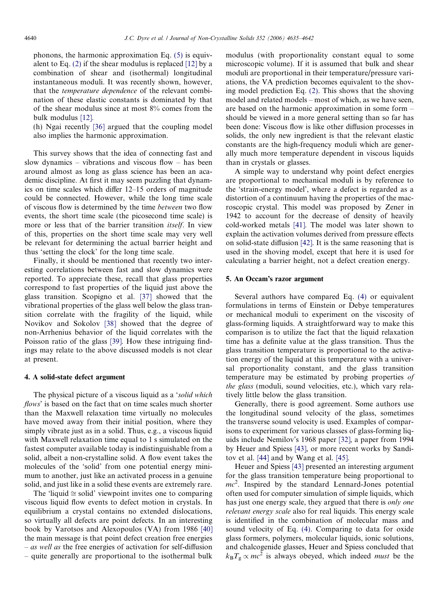phonons, the harmonic approximation Eq. [\(5\)](#page-4-0) is equivalent to Eq.  $(2)$  if the shear modulus is replaced [\[12\]](#page-6-0) by a combination of shear and (isothermal) longitudinal instantaneous moduli. It was recently shown, however, that the temperature dependence of the relevant combination of these elastic constants is dominated by that of the shear modulus since at most 8% comes from the bulk modulus [\[12\].](#page-6-0)

(h) Ngai recently [\[36\]](#page-7-0) argued that the coupling model also implies the harmonic approximation.

This survey shows that the idea of connecting fast and slow dynamics – vibrations and viscous flow – has been around almost as long as glass science has been an academic discipline. At first it may seem puzzling that dynamics on time scales which differ 12–15 orders of magnitude could be connected. However, while the long time scale of viscous flow is determined by the time between two flow events, the short time scale (the picosecond time scale) is more or less that of the barrier transition itself. In view of this, properties on the short time scale may very well be relevant for determining the actual barrier height and thus 'setting the clock' for the long time scale.

Finally, it should be mentioned that recently two interesting correlations between fast and slow dynamics were reported. To appreciate these, recall that glass properties correspond to fast properties of the liquid just above the glass transition. Scopigno et al. [\[37\]](#page-7-0) showed that the vibrational properties of the glass well below the glass transition correlate with the fragility of the liquid, while Novikov and Sokolov [\[38\]](#page-7-0) showed that the degree of non-Arrhenius behavior of the liquid correlates with the Poisson ratio of the glass [\[39\]](#page-7-0). How these intriguing findings may relate to the above discussed models is not clear at present.

#### 4. A solid-state defect argument

The physical picture of a viscous liquid as a 'solid which flows' is based on the fact that on time scales much shorter than the Maxwell relaxation time virtually no molecules have moved away from their initial position, where they simply vibrate just as in a solid. Thus, e.g., a viscous liquid with Maxwell relaxation time equal to 1 s simulated on the fastest computer available today is indistinguishable from a solid, albeit a non-crystalline solid. A flow event takes the molecules of the 'solid' from one potential energy minimum to another, just like an activated process in a genuine solid, and just like in a solid these events are extremely rare.

The 'liquid  $\cong$  solid' viewpoint invites one to comparing viscous liquid flow events to defect motion in crystals. In equilibrium a crystal contains no extended dislocations, so virtually all defects are point defects. In an interesting book by Varotsos and Alexopoulos (VA) from 1986 [\[40\]](#page-7-0) the main message is that point defect creation free energies – as well as the free energies of activation for self-diffusion – quite generally are proportional to the isothermal bulk

modulus (with proportionality constant equal to some microscopic volume). If it is assumed that bulk and shear moduli are proportional in their temperature/pressure variations, the VA prediction becomes equivalent to the shoving model prediction Eq. [\(2\).](#page-2-0) This shows that the shoving model and related models – most of which, as we have seen, are based on the harmonic approximation in some form – should be viewed in a more general setting than so far has been done: Viscous flow is like other diffusion processes in solids, the only new ingredient is that the relevant elastic constants are the high-frequency moduli which are generally much more temperature dependent in viscous liquids than in crystals or glasses.

A simple way to understand why point defect energies are proportional to mechanical moduli is by reference to the 'strain-energy model', where a defect is regarded as a distortion of a continuum having the properties of the macroscopic crystal. This model was proposed by Zener in 1942 to account for the decrease of density of heavily cold-worked metals [\[41\]](#page-7-0). The model was later shown to explain the activation volumes derived from pressure effects on solid-state diffusion [\[42\].](#page-7-0) It is the same reasoning that is used in the shoving model, except that here it is used for calculating a barrier height, not a defect creation energy.

#### 5. An Occam's razor argument

Several authors have compared Eq. [\(4\)](#page-4-0) or equivalent formulations in terms of Einstein or Debye temperatures or mechanical moduli to experiment on the viscosity of glass-forming liquids. A straightforward way to make this comparison is to utilize the fact that the liquid relaxation time has a definite value at the glass transition. Thus the glass transition temperature is proportional to the activation energy of the liquid at this temperature with a universal proportionality constant, and the glass transition temperature may be estimated by probing properties of the glass (moduli, sound velocities, etc.), which vary relatively little below the glass transition.

Generally, there is good agreement. Some authors use the longitudinal sound velocity of the glass, sometimes the transverse sound velocity is used. Examples of comparisons to experiment for various classes of glass-forming liquids include Nemilov's 1968 paper [\[32\],](#page-7-0) a paper from 1994 by Heuer and Spiess [\[43\]](#page-7-0), or more recent works by Sanditov et al. [\[44\]](#page-7-0) and by Wang et al. [\[45\]](#page-7-0).

Heuer and Spiess [\[43\]](#page-7-0) presented an interesting argument for the glass transition temperature being proportional to  $mc<sup>2</sup>$ . Inspired by the standard Lennard-Jones potential often used for computer simulation of simple liquids, which has just one energy scale, they argued that there is *only one* relevant energy scale also for real liquids. This energy scale is identified in the combination of molecular mass and sound velocity of Eq. [\(4\).](#page-4-0) Comparing to data for oxide glass formers, polymers, molecular liquids, ionic solutions, and chalcogenide glasses, Heuer and Spiess concluded that  $k_{\rm B}T_{\rm g} \propto mc^2$  is always obeyed, which indeed *must* be the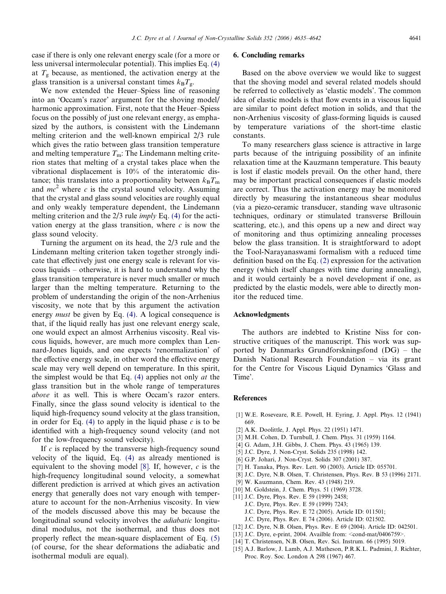<span id="page-6-0"></span>We now extended the Heuer–Spiess line of reasoning into an 'Occam's razor' argument for the shoving model/ harmonic approximation. First, note that the Heuer–Spiess focus on the possibly of just one relevant energy, as emphasized by the authors, is consistent with the Lindemann melting criterion and the well-known empirical 2/3 rule which gives the ratio between glass transition temperature and melting temperature  $T_m$ : The Lindemann melting criterion states that melting of a crystal takes place when the vibrational displacement is 10% of the interatomic distance; this translates into a proportionality between  $k_B T_m$ and  $mc^2$  where c is the crystal sound velocity. Assuming that the crystal and glass sound velocities are roughly equal and only weakly temperature dependent, the Lindemann melting criterion and the 2/3 rule *imply* Eq. [\(4\)](#page-4-0) for the activation energy at the glass transition, where  $c$  is now the glass sound velocity.

Turning the argument on its head, the 2/3 rule and the Lindemann melting criterion taken together strongly indicate that effectively just one energy scale is relevant for viscous liquids – otherwise, it is hard to understand why the glass transition temperature is never much smaller or much larger than the melting temperature. Returning to the problem of understanding the origin of the non-Arrhenius viscosity, we note that by this argument the activation energy must be given by Eq. [\(4\)](#page-4-0). A logical consequence is that, if the liquid really has just one relevant energy scale, one would expect an almost Arrhenius viscosity. Real viscous liquids, however, are much more complex than Lennard-Jones liquids, and one expects 'renormalization' of the effective energy scale, in other word the effective energy scale may very well depend on temperature. In this spirit, the simplest would be that Eq.  $(4)$  applies not only *at* the glass transition but in the whole range of temperatures above it as well. This is where Occam's razor enters. Finally, since the glass sound velocity is identical to the liquid high-frequency sound velocity at the glass transition, in order for Eq. [\(4\)](#page-4-0) to apply in the liquid phase  $c$  is to be identified with a high-frequency sound velocity (and not for the low-frequency sound velocity).

If  $c$  is replaced by the transverse high-frequency sound velocity of the liquid, Eq. [\(4\)](#page-4-0) as already mentioned is equivalent to the shoving model [8]. If, however,  $c$  is the high-frequency longitudinal sound velocity, a somewhat different prediction is arrived at which gives an activation energy that generally does not vary enough with temperature to account for the non-Arrhenius viscosity. In view of the models discussed above this may be because the longitudinal sound velocity involves the adiabatic longitudinal modulus, not the isothermal, and thus does not properly reflect the mean-square displacement of Eq. [\(5\)](#page-4-0) (of course, for the shear deformations the adiabatic and isothermal moduli are equal).

# 6. Concluding remarks

Based on the above overview we would like to suggest that the shoving model and several related models should be referred to collectively as 'elastic models'. The common idea of elastic models is that flow events in a viscous liquid are similar to point defect motion in solids, and that the non-Arrhenius viscosity of glass-forming liquids is caused by temperature variations of the short-time elastic constants.

To many researchers glass science is attractive in large parts because of the intriguing possibility of an infinite relaxation time at the Kauzmann temperature. This beauty is lost if elastic models prevail. On the other hand, there may be important practical consequences if elastic models are correct. Thus the activation energy may be monitored directly by measuring the instantaneous shear modulus (via a piezo-ceramic transducer, standing wave ultrasonic techniques, ordinary or stimulated transverse Brillouin scattering, etc.), and this opens up a new and direct way of monitoring and thus optimizing annealing processes below the glass transition. It is straightforward to adopt the Tool-Narayanaswami formalism with a reduced time definition based on the Eq. [\(2\)](#page-2-0) expression for the activation energy (which itself changes with time during annealing), and it would certainly be a novel development if one, as predicted by the elastic models, were able to directly monitor the reduced time.

## Acknowledgments

The authors are indebted to Kristine Niss for constructive critiques of the manuscript. This work was supported by Danmarks Grundforskningsfond (DG) – the Danish National Research Foundation – via its grant for the Centre for Viscous Liquid Dynamics 'Glass and Time'.

## References

- [1] W.E. Roseveare, R.E. Powell, H. Eyring, J. Appl. Phys. 12 (1941) 669.
- [2] A.K. Doolittle, J. Appl. Phys. 22 (1951) 1471.
- [3] M.H. Cohen, D. Turnbull, J. Chem. Phys. 31 (1959) 1164.
- [4] G. Adam, J.H. Gibbs, J. Chem. Phys. 43 (1965) 139.
- [5] J.C. Dyre, J. Non-Cryst. Solids 235 (1998) 142.
- [6] G.P. Johari, J. Non-Cryst. Solids 307 (2001) 387.
- [7] H. Tanaka, Phys. Rev. Lett. 90 (2003). Article ID: 055701.
- [8] J.C. Dyre, N.B. Olsen, T. Christensen, Phys. Rev. B 53 (1996) 2171.
- [9] W. Kauzmann, Chem. Rev. 43 (1948) 219.
- [10] M. Goldstein, J. Chem. Phys. 51 (1969) 3728.
- [11] J.C. Dyre, Phys. Rev. E 59 (1999) 2458;
	- J.C. Dyre, Phys. Rev. E 59 (1999) 7243;
		- J.C. Dyre, Phys. Rev. E 72 (2005). Article ID: 011501;
		- J.C. Dyre, Phys. Rev. E 74 (2006). Article ID: 021502.
- [12] J.C. Dyre, N.B. Olsen, Phys. Rev. E 69 (2004). Article ID: 042501.
- [13] J.C. Dyre, e-print, 2004. Availble from: <cond-mat/0406759>.
- [14] T. Christensen, N.B. Olsen, Rev. Sci. Instrum. 66 (1995) 5019.
- [15] A.J. Barlow, J. Lamb, A.J. Matheson, P.R.K.L. Padmini, J. Richter, Proc. Roy. Soc. London A 298 (1967) 467.